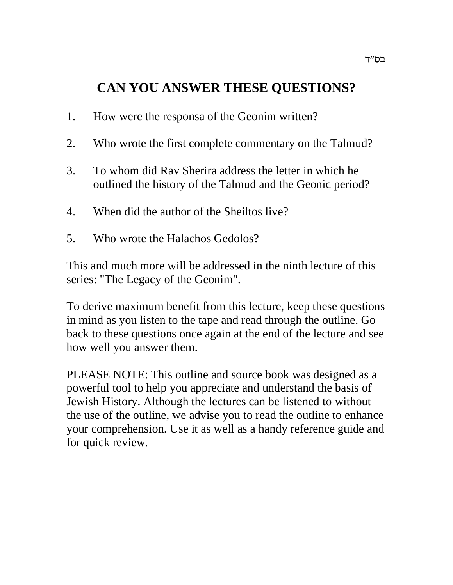# **CAN YOU ANSWER THESE QUESTIONS?**

- 1. How were the responsa of the Geonim written?
- 2. Who wrote the first complete commentary on the Talmud?
- 3. To whom did Rav Sherira address the letter in which he outlined the history of the Talmud and the Geonic period?
- 4. When did the author of the Sheiltos live?
- 5. Who wrote the Halachos Gedolos?

This and much more will be addressed in the ninth lecture of this series: "The Legacy of the Geonim".

To derive maximum benefit from this lecture, keep these questions in mind as you listen to the tape and read through the outline. Go back to these questions once again at the end of the lecture and see how well you answer them.

PLEASE NOTE: This outline and source book was designed as a powerful tool to help you appreciate and understand the basis of Jewish History. Although the lectures can be listened to without the use of the outline, we advise you to read the outline to enhance your comprehension. Use it as well as a handy reference guide and for quick review.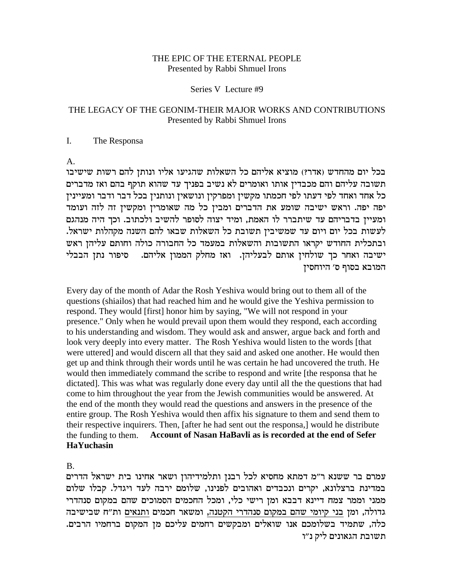### THE EPIC OF THE ETERNAL PEOPLE Presented by Rabbi Shmuel Irons

Series V Lecture #9

# THE LEGACY OF THE GEONIM-THEIR MAJOR WORKS AND CONTRIBUTIONS Presented by Rabbi Shmuel Irons

### I. The Responsa

### A.

בכל יום מהחדש (אדר?) מוציא אליהם כל השאלות שהגיעו אליו ונותן להם רשות שישיבו תשובה עליהם והם מכבדין אותו ואומרים לא נשיב בפניך עד שהוא תוקף בהם ואז מדברים כל אחד ואחד לפי דעתו לפי חכמתו מקשין ומפרקין ונושאין ונותנין בכל דבר ודבר ומעיינין יפה יפה. וראש ישיבה שומע את הדברים ומבין כל מה שאומרין ומקשין זה לזה ועומד ומעיין בדבריהם עד שיתברר לו האמת, ומיד יצוה לסופר להשיב ולכתוב. וכך היה מנהגם .<br>לעשות בכל יום ויום עד שמשיבין תשובת כל השאלות שבאו להם השנה מקהלות ישראל. ובתכלית החודש יקראו התשובות והשאלות במעמד כל החבורה כולה וחותם עליהן ראש ישיבה ואחר כך שולחין אותם לבעליהן. ואז מחלק הממון אליהם. 0סיפור נתן הבבלי המובא בסוף ס׳ היוחסין

Every day of the month of Adar the Rosh Yeshiva would bring out to them all of the questions (shiailos) that had reached him and he would give the Yeshiva permission to respond. They would [first] honor him by saying, "We will not respond in your presence." Only when he would prevail upon them would they respond, each according to his understanding and wisdom. They would ask and answer, argue back and forth and look very deeply into every matter. The Rosh Yeshiva would listen to the words [that were uttered] and would discern all that they said and asked one another. He would then get up and think through their words until he was certain he had uncovered the truth. He would then immediately command the scribe to respond and write [the responsa that he dictated]. This was what was regularly done every day until all the the questions that had come to him throughout the year from the Jewish communities would be answered. At the end of the month they would read the questions and answers in the presence of the entire group. The Rosh Yeshiva would then affix his signature to them and send them to their respective inquirers. Then, [after he had sent out the responsa,] would he distribute the funding to them. **Account of Nasan HaBavli as is recorded at the end of Sefer HaYuchasin**

B.

עמרם בר ששנא ר"מ דמתא מחסיא לכל רבנן ותלמידיהון ושאר אחינו בית ישראל הדרים במדינת ברצלונא, יקרים ונכבדים ואהובים לפנינו, שלומם ירבה לעד ויגדל. קבלו שלום ממני וממר צמח דיינא דבבא ומן רישי כלי, ומכל החכמים הסמוכים שהם במקום סנהדרי גדולה, ומן בני קיומי שהם במקום סנהדרי הקטנה, ומשאר חכמים ותנאים ות"ח שבישיבה כלה, שתמיד בשלומכם אנו שואלים ומבקשים רחמים עליכם מן המקום ברחמיו הרבים. תשובת הגאונים ליק נ״ו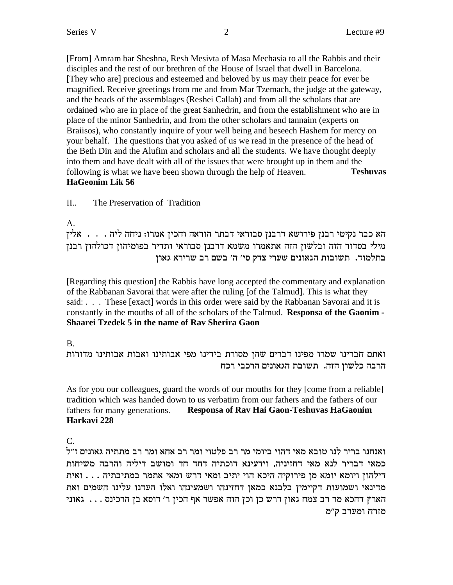[From] Amram bar Sheshna, Resh Mesivta of Masa Mechasia to all the Rabbis and their disciples and the rest of our brethren of the House of Israel that dwell in Barcelona. [They who are] precious and esteemed and beloved by us may their peace for ever be magnified. Receive greetings from me and from Mar Tzemach, the judge at the gateway, and the heads of the assemblages (Reshei Callah) and from all the scholars that are ordained who are in place of the great Sanhedrin, and from the establishment who are in place of the minor Sanhedrin, and from the other scholars and tannaim (experts on Braiisos), who constantly inquire of your well being and beseech Hashem for mercy on your behalf. The questions that you asked of us we read in the presence of the head of the Beth Din and the Alufim and scholars and all the students. We have thought deeply into them and have dealt with all of the issues that were brought up in them and the following is what we have been shown through the help of Heaven. **Teshuvas HaGeonim Lik 56**

II.. The Preservation of Tradition

A.

הא כבר נקיטי רבנן פירושא דרבנן סבוראי דבתר הוראה והכין אמרו: ניחה ליה  $\ldots$ . אלין  $\epsilon$ בסדור הזה ובלשון הזה אתאמרו משמא דרבנן סבוראי ותדיר בפומיהון דכולהון מילי כתלמוד. תשובות הגאונים שערי צדק סי' ה' בשם רב שרירא גאון

[Regarding this question] the Rabbis have long accepted the commentary and explanation of the Rabbanan Savorai that were after the ruling [of the Talmud]. This is what they said: . . . These [exact] words in this order were said by the Rabbanan Savorai and it is constantly in the mouths of all of the scholars of the Talmud. **Responsa of the Gaonim - Shaarei Tzedek 5 in the name of Rav Sherira Gaon**

# B.

ואתם חברינו שמרו מפינו דברים שהז מסורת בידינו מפי אבותינו ואבות אבותינו מדורות הרבה כלשון הזה. תשובת הגאונים הרכבי רכח

As for you our colleagues, guard the words of our mouths for they [come from a reliable] tradition which was handed down to us verbatim from our fathers and the fathers of our fathers for many generations. **Responsa of Rav Hai Gaon-Teshuvas HaGaonim Harkavi 228**

C.

ואנחנו בריר לנו טובא מאי דהוי ביומי מר רב פלטוי ומר רב אחא ומר רב מתתיה גאונים ז"ל כמאי דבריר לנא מאי דחזיניה, וידעינא דוכתיה דחד חד ומושב דיליה והרבה משיחות  $\ldots$  . . . . בילהון ויומא יומא מן פירוקיה היכא הוי יתיב ומאי דרש ומאי אתמר במתיבתיה מדינאי ושמועות דקיימין בלבנא כמאן דחזינהו ושמעינהו ואלו העדנו עלינו השמים ואת וארץ האכא מר רב צמח גאון דרש כן וכן הוה אפשר אף הכין ר׳ דוסא בן הרכינס  $\dots$  גאוני מזרח ומערב ק"מ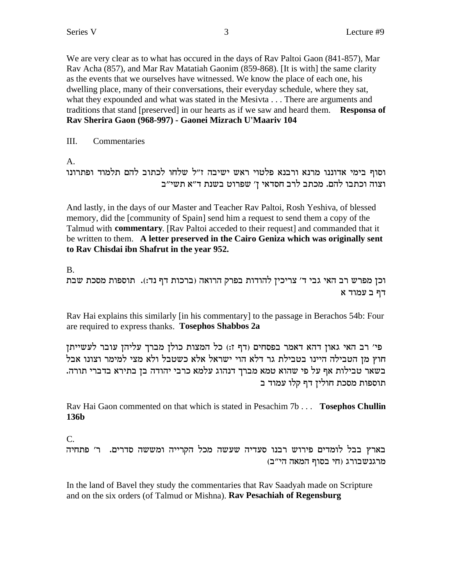We are very clear as to what has occured in the days of Rav Paltoi Gaon (841-857), Mar Rav Acha (857), and Mar Rav Matatiah Gaonim (859-868). [It is with] the same clarity as the events that we ourselves have witnessed. We know the place of each one, his dwelling place, many of their conversations, their everyday schedule, where they sat, what they expounded and what was stated in the Mesivta . . . There are arguments and traditions that stand [preserved] in our hearts as if we saw and heard them. Responsa of Rav Sherira Gaon (968-997) - Gaonei Mizrach U'Maariv 104

III. Commentaries

 $A_{\cdot}$ 

```
וסוף בימי אדוננו מרנא ורבנא פלטוי ראש ישיבה ז״ל שלחו לכתוב להם תלמוד ופתרונו
          וצוה וכתבו להם. מכתב לרב חסדאי ן' שפרוט בשנת ד"א תשי"ב
```
And lastly, in the days of our Master and Teacher Ray Paltoi, Rosh Yeshiva, of blessed memory, did the [community of Spain] send him a request to send them a copy of the Talmud with commentary. [Rav Paltoi acceded to their request] and commanded that it be written to them. A letter preserved in the Cairo Geniza which was originally sent to Rav Chisdai ibn Shafrut in the year 952.

 $\mathbf{B}$ 

וכן מפרש רב האי גבי ד׳ צריכין להודות בפרק הרואה (ברכות דף נד:). תוספות מסכת שבת דף בעמוד א

Rav Hai explains this similarly [in his commentary] to the passage in Berachos 54b: Four are required to express thanks. Tosephos Shabbos 2a

פי' רב האי גאון דהא דאמר בפסחים (דף ז:) כל המצות כולן מברך עליהן עובר לעשייתן חוץ מן הטבילה היינו בטבילת גר דלא הוי ישראל אלא כשטבל ולא מצי למימר וצונו אבל בשאר טבילות אף על פי שהוא טמא מברך דנהוג עלמא כרבי יהודה בן בתירא בדברי תורה. תוספות מסכת חוליז דף קלו עמוד ב

Rav Hai Gaon commented on that which is stated in Pesachim 7b . . . Tosephos Chullin 136b

 $C_{\cdot}$ 

בארץ בבל לומדים פירוש רבנו סעדיה שעשה מכל הקרייה ומששה סדרים. ר' פתחיה מרגנשבורג (חי בסוף המאה הי"ב)

In the land of Bavel they study the commentaries that Rav Saadyah made on Scripture and on the six orders (of Talmud or Mishna). Rav Pesachiah of Regensburg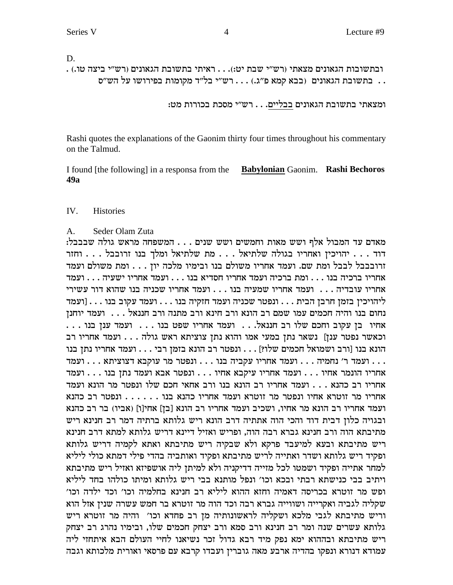D.

. ובתשובות הגאונים מצאתי (רש"י שבת יט:). . . ראיתי בתשובת הגאונים (רש"י ביצה טו.) . . בתשובת הגאונים (בבא קמא פ"ג.) . . . רש"י בל"ד מקומות בפירושו על הש"ס

ומצאתי בתשובת הגאונים בבליים. . . רש״י מסכת בכורות מט:

Rashi quotes the explanations of the Gaonim thirty four times throughout his commentary on the Talmud.

I found [the following] in a responsa from the Babylonian Gaonim. Rashi Bechoros  $49a$ 

#### $IV.$ **Histories**

#### $A_{1}$ Seder Olam Zuta

מאדם עד המבול אלף ושש מאות וחמשים ושש שנים . . . המשפחה מראש גולה שבבבל: יהויכין ואחריו בגולה שלתיאל . . . מת שלתיאל ומלך בנו זרובבל . . . וחזר זרובבבל לבבל ומת שם. ועמד אחריו משולם בנו ובימיו מלכה יון . . . ומת משולם ועמד ירי (עשירי  $\dots$  נובדיה) אחריו נומד התריו הייתה התריו והתריו התריו התר ליהויכין בזמן חרבן הבית . . . ונפטר שכניה ועמד חזקיה בנו . . . ועמד עקוב בנו . . . [ועמד נחום בנו והיה חכמים עמו שמם רב הונא ורב חינא ורב מתנה ורב חננאל . . . . ועמד יוחנן אחיו בן עקוב וחכם שלו רב חננאל. . . ועמד אחריו שפט בנו . . . . ועמד ענן בנו . . . וכאשר נפטר ענן] נשאר נתן במעי אמו והוא נתן צוציתא ראש גולה . . . ועמד אחריו רב הונא בנו [ורב ושמואל חכמים שלו?] . . . ונפטר רב הונא בזמן רבי . . . ועמד אחריו נתן בנו אחריו רב כהנא . . . ועמד אחריו רב הונא בנו ורב אחאי חכם שלו ונפטר מר הונא ועמד ועמד אחריו רב הונא מר אחיו, ושכיב ועמד אחריו רב הונא [בן] אחי[ו] (אביו) בר רב כהנא ובגויה כלון דבית דוד והכי הוה אתתיה דרב הונא ריש גלותא ברתיה דמר רב חנינא ריש מתיבתא הוה ורב חנינא גברא רבה הוה, ופריש ואזיל דיינא דריש גלותא למתא דרב חנינא ריש מתיבתא ובעא למיעבד פרקא ולא שבקיה ריש מתיבתא ואתא לקמיה דריש גלותא ופקיד ריש גלותא ושדר ואתייה לריש מתיבתא ופקיד ואותביה בהדי פילי דמתא כולי ליליא למחר אתייה ופקיד ושמטו לכל מזייה דדיקניה ולא למיתן ליה אושפיזא ואזיל ריש מתיבתא ויתיב בבי כנישתא רבתי ובכא וכו׳ ונפל מותנא בבי ריש גלותא ומיתו כולהו בחד ליליא ופש מר זוטרא בכריסה דאמיה וחזא ההוא ליליא רב חנינא בחלמיה וכו׳ וכד ילדה וכו׳ שקליה לגביה ואקרייה ושווייה גברא רבה וכד הוה מר זוטרא בר חמש עשרה שנין אזל הוא וריש מתיבתא לגבי מלכא ושקליה לראשונותיה מן רב פחדא וכו׳ והיה מר זוטרא ריש גלותא עשרים שנה ומר רב חנינא ורב סמא ורב יצחק חכמים שלו, ובימיו נהרג רב יצחק ריש מתיבתא ובההוא ימא נפק מיד רבא גדול זכר נשיאנו לחיי העולם הבא איתחזי ליה עמודא דנורא ונפקו בהדיה ארבע מאה גוברין ועבדו קרבא עם פרסאי ואורית מלכותא וגבה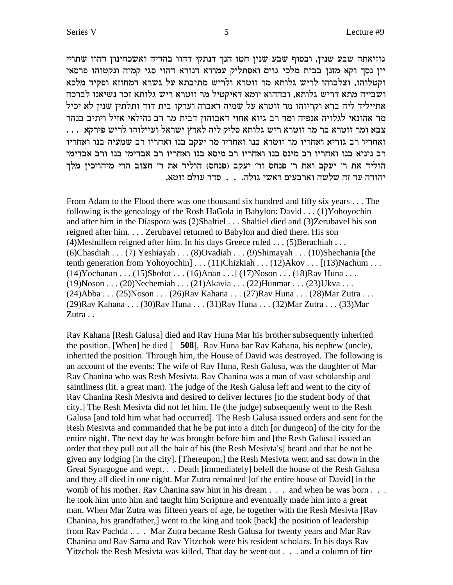גוזיאתה שבע שנין, ובסוף שבע שנין חטו הנך דנתקי דהוו בהדיה ואשכחינון דהוו שתויי יין נסך וקא מזנן בבית מלכי גוים ואסתליק עמודא דנורא דהוי סגי קמיה ונקטוהו פרסאי וקטלוהו, וצלבוהו לריש גלותא מר זוטרא ולריש מתיבתא על גשרא דמחוזא ופקיד מלכא ושבייה מתא דריש גלותא, ובההוא יומא דאיקטיל מר זוטרא ריש גלותא זכר נשיאנו לברכה אתייליד ליה ברא וקריוהו מר זוטרא על שמיה דאבוה וערקו בית דוד ותלתין שנין לא יכיל מר אהונאי לגלויה אנפיה ומר רב גיזא אחוי דאבוהון דבית מר רב נהילאי אזיל ויתיב בנהר . . . צבא ומר זוטרא בר מר זוטרא ריש גלותא סליק ליה לארץ ישראל ועיילוהו לריש פירקא ואחריו רב גוריא ואחריו מר זוטרא בנו ואחריו מר יעקב בנו ואחריו רב שמעיה בנו ואחריו רב ניניא בנו ואחריו רב מינס בנו ואחריו רב מיסא בנו ואחריו רב אבדימי בנו ורב אבדימי הוליד את ר׳ יעקב ואת ר׳ פנחס ור׳ יעקב (פנחס) הוליד את ר׳ חצוב הרי מיהויכיז מלד יהודה עד זה שלשה וארבעים ראשי גולה. . . סדר עולם זוטא.

From Adam to the Flood there was one thousand six hundred and fifty six years . . . The following is the genealogy of the Rosh HaGola in Babylon: David . . . (1)Yohoyochin and after him in the Diaspora was (2)Shaltiel . . . Shaltiel died and (3)Zerubavel his son reigned after him. . . . Zerubavel returned to Babylon and died there. His son (4)Meshullem reigned after him. In his days Greece ruled . . . (5)Berachiah . . . (6)Chasdiah . . . (7) Yeshiayah . . . (8)Ovadiah . . . (9)Shimayah . . . (10)Shechania [the tenth generation from Yohoyochin] . . . (11)Chizkiah . . . (12)Akov . . . [(13)Nachum . . . (14)Yochanan . . . (15)Shofot . . . (16)Anan . . .] (17)Noson . . . (18)Rav Huna . . . (19)Noson . . . (20)Nechemiah . . . (21)Akavia . . . (22)Hunmar . . . (23)Ukva . . . (24)Abba . . . (25)Noson . . . (26)Rav Kahana . . . (27)Rav Huna . . . (28)Mar Zutra . . . (29)Rav Kahana . . . (30)Rav Huna . . . (31)Rav Huna . . . (32)Mar Zutra . . . (33)Mar Zutra . .

Rav Kahana [Resh Galusa] died and Rav Huna Mar his brother subsequently inherited the position. [When] he died [ **508**], Rav Huna bar Rav Kahana, his nephew (uncle), inherited the position. Through him, the House of David was destroyed. The following is an account of the events: The wife of Rav Huna, Resh Galusa, was the daughter of Mar Rav Chanina who was Resh Mesivta. Rav Chanina was a man of vast scholarship and saintliness (lit. a great man). The judge of the Resh Galusa left and went to the city of Rav Chanina Resh Mesivta and desired to deliver lectures [to the student body of that city.] The Resh Mesivta did not let him. He (the judge) subsequently went to the Resh Galusa [and told him what had occurred]. The Resh Galusa issued orders and sent for the Resh Mesivta and commanded that he be put into a ditch [or dungeon] of the city for the entire night. The next day he was brought before him and [the Resh Galusa] issued an order that they pull out all the hair of his (the Resh Mesivta's] beard and that he not be given any lodging [in the city]. [Thereupon,] the Resh Mesivta went and sat down in the Great Synagogue and wept. . . Death [immediately] befell the house of the Resh Galusa and they all died in one night. Mar Zutra remained [of the entire house of David] in the womb of his mother. Rav Chanina saw him in his dream . . . and when he was born . . . he took him unto him and taught him Scripture and eventually made him into a great man. When Mar Zutra was fifteen years of age, he together with the Resh Mesivta [Rav Chanina, his grandfather,] went to the king and took [back] the position of leadership from Rav Pachda . . . Mar Zutra became Resh Galusa for twenty years and Mar Rav Chanina and Rav Sama and Rav Yitzchok were his resident scholars. In his days Rav Yitzchok the Resh Mesivta was killed. That day he went out . . . and a column of fire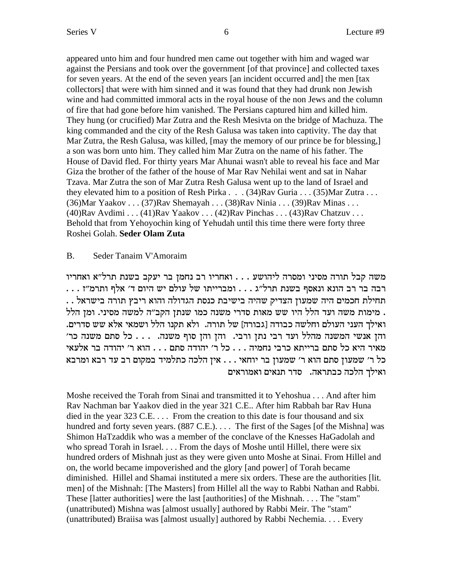appeared unto him and four hundred men came out together with him and waged war against the Persians and took over the government [of that province] and collected taxes for seven years. At the end of the seven years [an incident occurred and] the men [tax collectors] that were with him sinned and it was found that they had drunk non Jewish wine and had committed immoral acts in the royal house of the non Jews and the column of fire that had gone before him vanished. The Persians captured him and killed him. They hung (or crucified) Mar Zutra and the Resh Mesivta on the bridge of Machuza. The king commanded and the city of the Resh Galusa was taken into captivity. The day that Mar Zutra, the Resh Galusa, was killed, [may the memory of our prince be for blessing,] a son was born unto him. They called him Mar Zutra on the name of his father. The House of David fled. For thirty years Mar Ahunai wasn't able to reveal his face and Mar Giza the brother of the father of the house of Mar Ray Nehilai went and sat in Nahar Tzava. Mar Zutra the son of Mar Zutra Resh Galusa went up to the land of Israel and they elevated him to a position of Resh Pirka .  $(34)$ Rav Guria .  $(35)$ Mar Zutra . . . (36) Mar Yaakov . . . (37) Rav Shemayah . . . (38) Rav Ninia . . . (39) Rav Minas . . .  $(40)$ Rav Avdimi ...  $(41)$ Rav Yaakov ...  $(42)$ Rav Pinchas ...  $(43)$ Rav Chatzuv ... Behold that from Yehoyochin king of Yehudah until this time there were forty three Roshei Golah. Seder Olam Zuta

#### $B<sub>1</sub>$ Seder Tanaim V'Amoraim

משה קבל תורה מסיני ומסרה ליהושע . . . ואחריו רב נחמן בר יעקב בשנת תרל"א ואחריו תחילת חכמים היה שמעון הצדיק שהיה בישיבת כנסת הגדולה והוא ריבץ תורה בישראל . . . מימות משה ועד הלל היו שש מאות סדרי משנה כמו שנתן הקב״ה למשה מסיני. ומן הלל ואילך העני העולם וחלשה כבודה [גבורה] של תורה. ולא תקנו הלל ושמאי אלא שש סדרים. והן אנשי המשנה מהלל ועד רבי נתן ורבי. והן והן סוף משנה. . . . כל סתם משנה כר' מאיר היא כל סתם ברייתא כרבי נחמיה . . . כל ר׳ יהודה סתם . . . הוא ר׳ יהודה בר אלעאי כל ר' שמעון סתם הוא ר' שמעון בר יוחאי . . . אין הלכה כתלמיד במקום רב עד רבא ומרבא ואילך הלכה כבתראה. סדר תנאים ואמוראים

Moshe received the Torah from Sinai and transmitted it to Yehoshua ... And after him Rav Nachman bar Yaakov died in the year 321 C.E.. After him Rabbah bar Rav Huna died in the year 323 C.E.  $\dots$  From the creation to this date is four thousand and six hundred and forty seven years. (887 C.E.).... The first of the Sages [of the Mishna] was Shimon HaTzaddik who was a member of the conclave of the Knesses HaGadolah and who spread Torah in Israel. . . . From the days of Moshe until Hillel, there were six hundred orders of Mishnah just as they were given unto Moshe at Sinai. From Hillel and on, the world became impoverished and the glory [and power] of Torah became diminished. Hillel and Shamai instituted a mere six orders. These are the authorities [lit. men] of the Mishnah: [The Masters] from Hillel all the way to Rabbi Nathan and Rabbi. These [latter authorities] were the last [authorities] of the Mishnah.... The "stam" (unattributed) Mishna was [almost usually] authored by Rabbi Meir. The "stam" (unattributed) Braiisa was [almost usually] authored by Rabbi Nechemia. . . . Every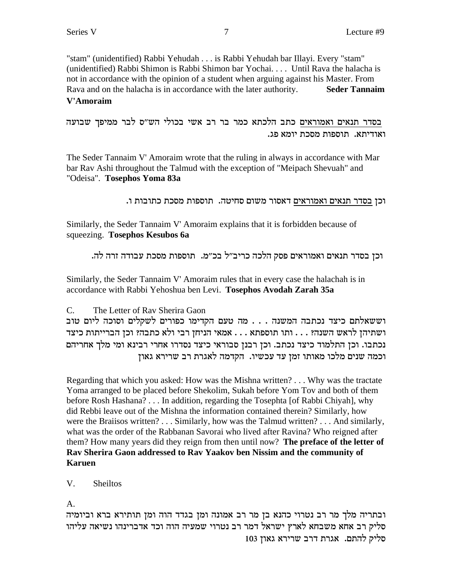"stam" (unidentified) Rabbi Yehudah . . . is Rabbi Yehudah bar Illayi. Every "stam" (unidentified) Rabbi Shimon is Rabbi Shimon bar Yochai. . . . Until Rava the halacha is not in accordance with the opinion of a student when arguing against his Master. From Rava and on the halacha is in accordance with the later authority. **Seder Tannaim V'Amoraim**

בסדר תנאים ואמוראים כתב הלכתא כמר בר רב אשי בכולי הש"ס לבר ממיפך שבועה . ואודיתא. תוספות מסכת יומא פג

The Seder Tannaim V' Amoraim wrote that the ruling in always in accordance with Mar bar Rav Ashi throughout the Talmud with the exception of "Meipach Shevuah" and "Odeisa". **Tosephos Yoma 83a**

. וכן בסדר תנאים ואמוראים דאסור משום סחיטה. תוספות מסכת כתובות ו

Similarly, the Seder Tannaim V' Amoraim explains that it is forbidden because of squeezing. **Tosephos Kesubos 6a**

. וכן בסדר תנאים ואמוראים פסק הלכה כריב״ל בכ״מ. תוספות מסכת עבודה זרה לה

Similarly, the Seder Tannaim V' Amoraim rules that in every case the halachah is in accordance with Rabbi Yehoshua ben Levi. **Tosephos Avodah Zarah 35a**

C. The Letter of Rav Sherira Gaon

וששאלתם כיצד נכתבה המשנה . . . מה טעם הקדימו כפורים לשקלים וסוכה ליום טוב ושתיהן לראש השנה? . . . ותו תוספתא . . . אמאי הניחן רבי ולא כתבה? וכן הברייתות כיצד נכתבו. וכן התלמוד כיצד נכתב. וכן רבנן סבוראי כיצד נסדרו אחרי רבינא ומי מלך אחריהם וכמה שנים מלכו מאותו זמן עד עכשיו. הקדמה לאגרת רב שרירא גאון

Regarding that which you asked: How was the Mishna written? . . . Why was the tractate Yoma arranged to be placed before Shekolim, Sukah before Yom Tov and both of them before Rosh Hashana? . . . In addition, regarding the Tosephta [of Rabbi Chiyah], why did Rebbi leave out of the Mishna the information contained therein? Similarly, how were the Braiisos written? . . . Similarly, how was the Talmud written? . . . And similarly, what was the order of the Rabbanan Savorai who lived after Ravina? Who reigned after them? How many years did they reign from then until now? **The preface of the letter of Rav Sherira Gaon addressed to Rav Yaakov ben Nissim and the community of Karuen**

V. Sheiltos

A.

ובתריה מלך מר רב נטרוי כהנא בן מר רב אמונה ומן בגדד הוה ומן תותירא ברא וביומיה סליק רב אחא משבחא לארץ ישראל דמר רב נטרוי שמעיה הוה וכד אדברינהו נשיאה עליהו 103 סליק להתם. אגרת דרב שרירא גאון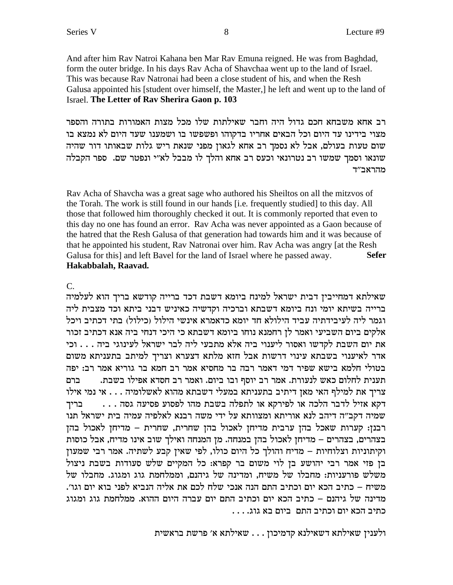And after him Rav Natroi Kahana ben Mar Rav Emuna reigned. He was from Baghdad, form the outer bridge. In his days Rav Acha of Shavchaa went up to the land of Israel. This was because Rav Natronai had been a close student of his, and when the Resh Galusa appointed his [student over himself, the Master,] he left and went up to the land of Israel. The Letter of Rav Sherira Gaon p. 103

רב אחא משבחא חכם גדול היה וחבר שאילתות שלו מכל מצות האמורות בתורה והספר מצוי בידינו עד היום וכל הבאים אחריו בדקוהו ופשפשו בו ושמענו שעד היום לא נמצא בו שום טעות בעולם, אבל לא נסמך רב אחא לגאון מפני שנאת ריש גלות שבאותו דור שהיה שונאו וסמך שמשו רב נטרונאי וכעס רב אחא והלך לו מבבל לא"י ונפטר שם. ספר הקבלה מהראב״ד

Ray Acha of Shavcha was a great sage who authored his Sheiltos on all the mitzvos of the Torah. The work is still found in our hands [i.e. frequently studied] to this day. All those that followed him thoroughly checked it out. It is commonly reported that even to this day no one has found an error. Ray Acha was never appointed as a Gaon because of the hatred that the Resh Galusa of that generation had towards him and it was because of that he appointed his student, Ray Natronai over him. Ray Acha was angry [at the Resh Galusa for this] and left Bavel for the land of Israel where he passed away. **Sefer** Hakabbalah, Raavad.

 $\mathcal{C}$ .

שאילתא דמחייבין דבית ישראל למינח ביומא דשבת דכד ברייה קודשא בריך הוא לעלמיה ברייה בשיתא יומי ונח ביומא דשבתא וברכיה וקדשיה כאיניש דבני ביתא וכד מצבית ליה וגמר ליה לעיבידתיה עביד הילולא חד יומא כדאמרא אינשי הילול (כילול) בתי דכתיב ויכל אלקים ביום השביעי ואמר לן רחמנא נוחו ביומא דשבתא כי היכי דנחי ביה אנא דכתיב זכור את יום השבת לקדשו ואסור ליענוי ביה אלא מתבעי ליה לבר ישראל לעינוגי ביה . . . וכי אדר לאיענוי בשבתא עינוי דרשות אבל חזא מלתא דצערא וצריך למיתב בתעניתא משום בטולי חלמא בישא שפיר דמי דאמר רבה בר מחסיא אמר רב חמא בר גוריא אמר רב: יפה תענית לחלום כאש לנעורת. אמר רב יוסף ובו ביום. ואמר רב חסדא אפילו בשבת. ברם צריך את למילף האי מאן דיתיב בתעניתא במעלי דשבתא מהוא לאשלומיה . . . אי נמי אילו דקא אזיל לדבר הלכה או לפירקא או לתפלה בשבת מהו לפסוע פסיעה גסה . . . בריד שמיה דקב״ה דיהב לנא אוריתא ומצוותא על ידי משה רבנא לאלפיה עמיה בית ישראל תנו רבנן: קערות שאכל בהן ערבית מדיחן לאכול בהן שחרית, שחרית – מדיחן לאכול בהן בצהרים, בצהרים – מדיחן לאכול בהן במנחה. מן המנחה ואילך שוב אינו מדיח, אבל כוסות וקיתוניות וצלוחיות – מדיח והולך כל היום כולו, לפי שאין קבע לשתיה. אמר רבי שמעון בן פזי אמר רבי יהושע בן לוי משום בר קפרא: כל המקיים שלש סעודות בשבת ניצול משלש פורעניות: מחבלו של משיח, ומדינה של גיהנם, וממלחמת גוג ומגוג. מחבלו של משיח – כתיב הכא יום וכתיב התם הנה אנכי שלח לכם את אליה הנביא לפני בוא יום וגו׳. מדינה של גיהנם – כתיב הכא יום וכתיב התם יום עברה היום ההוא. ממלחמת גוג ומגוג כתיב הכא יום וכתיב התם. ביום בא גוג. . . .

ולענין שאילתא דשאילנא קדמיכון . . . שאילתא א׳ פרשת בראשית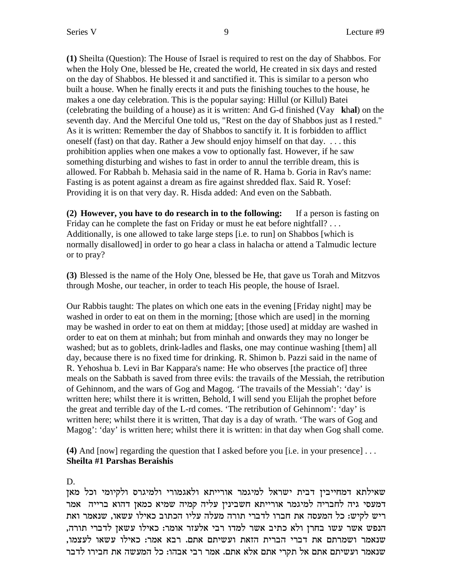**(1)** Sheilta (Question): The House of Israel is required to rest on the day of Shabbos. For when the Holy One, blessed be He, created the world, He created in six days and rested on the day of Shabbos. He blessed it and sanctified it. This is similar to a person who built a house. When he finally erects it and puts the finishing touches to the house, he makes a one day celebration. This is the popular saying: Hillul (or Killul) Batei (celebrating the building of a house) as it is written: And G-d finished (Vay **k**h**al**) on the seventh day. And the Merciful One told us, "Rest on the day of Shabbos just as I rested." As it is written: Remember the day of Shabbos to sanctify it. It is forbidden to afflict oneself (fast) on that day. Rather a Jew should enjoy himself on that day. . . . this prohibition applies when one makes a vow to optionally fast. However, if he saw something disturbing and wishes to fast in order to annul the terrible dream, this is allowed. For Rabbah b. Mehasia said in the name of R. Hama b. Goria in Rav's name: Fasting is as potent against a dream as fire against shredded flax. Said R. Yosef: Providing it is on that very day. R. Hisda added: And even on the Sabbath.

**(2) However, you have to do research in to the following:** If a person is fasting on Friday can he complete the fast on Friday or must he eat before nightfall? . . . Additionally, is one allowed to take large steps [i.e. to run] on Shabbos [which is normally disallowed] in order to go hear a class in halacha or attend a Talmudic lecture or to pray?

**(3)** Blessed is the name of the Holy One, blessed be He, that gave us Torah and Mitzvos through Moshe, our teacher, in order to teach His people, the house of Israel.

Our Rabbis taught: The plates on which one eats in the evening [Friday night] may be washed in order to eat on them in the morning; [those which are used] in the morning may be washed in order to eat on them at midday; [those used] at midday are washed in order to eat on them at minhah; but from minhah and onwards they may no longer be washed; but as to goblets, drink-ladles and flasks, one may continue washing [them] all day, because there is no fixed time for drinking. R. Shimon b. Pazzi said in the name of R. Yehoshua b. Levi in Bar Kappara's name: He who observes [the practice of] three meals on the Sabbath is saved from three evils: the travails of the Messiah, the retribution of Gehinnom, and the wars of Gog and Magog. 'The travails of the Messiah': 'day' is written here; whilst there it is written, Behold, I will send you Elijah the prophet before the great and terrible day of the L-rd comes. 'The retribution of Gehinnom': 'day' is written here; whilst there it is written, That day is a day of wrath. 'The wars of Gog and Magog': 'day' is written here; whilst there it is written: in that day when Gog shall come.

**(4)** And [now] regarding the question that I asked before you [i.e. in your presence] . . . **Sheilta #1 Parshas Beraishis**

D.

שאילתא דמחייבין דבית ישראל למיגמר אורייתא ולאגמורי ולמיגרס ולקיומי וכל מאן דמעסי גיה לחבריה למיגמר אורייתא חשבינין עליה קמיה שמיא כמאן דהוא ברייה אמר ריש לקיש: כל המעסה את חברו לדברי תורה מעלה עליו הכתוב כאילו עשאו, שנאמר ואת ,הנפש אשר עשו בחרן ולא כתיב אשר למדו רבי אלעזר אומר: כאילו עשאן לדברי תורה ,שנאמר ושמרתם את דברי הברית הזאת ועשיתם אתם. רבא אמר: כאילו עשאו לעצמו שנאמר ועשיתם אתם אל תקרי אתם אלא אתם. אמר רבי אבהו: כל המעשה את חבירו לדבר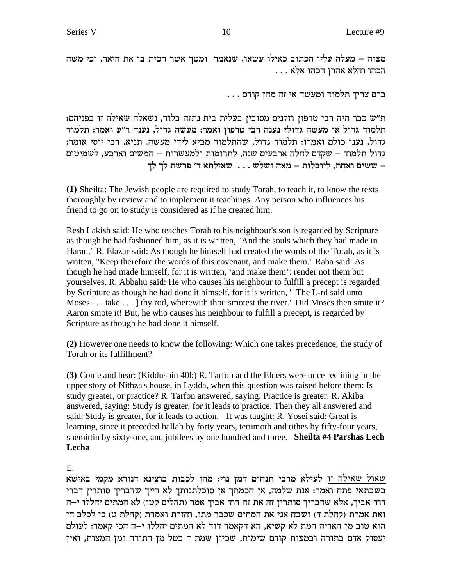מצוה – מעלה עליו הכתוב כאילו עשאו, שנאמר ומטך אשר הכית בו את היאר, וכי משה  $\ldots$  . הכהו והלא אהרן הכהו אלא

. . . ברם צריך תלמוד ומעשה אי זה מהן קודם

:ת״ש כבר היה רבי טרפון וזקנים מסובין בעלית בית נתזה בלוד, נשאלה שאילה זו בפניהם תלמוד גדול או מעשה גדול? נענה רבי טרפון ואמר: מעשה גדול, נענה ר״ע ואמר: תלמוד גדול, נענו כולם ואמרו: תלמוד גדול, שהתלמוד מביא לידי מעשה. תניא, רבי יוסי אומר: גדול תלמוד – שקדם לחלה ארבעים שנה, לתרומות ולמעשרות – חמשים וארבע, לשמיטים ששים ואחת, ליובלות – מאה ושלש  $\ldots$  שאילתא ד׳ פרשת לך לך -  $\pm$ 

**(1)** Sheilta: The Jewish people are required to study Torah, to teach it, to know the texts thoroughly by review and to implement it teachings. Any person who influences his friend to go on to study is considered as if he created him.

Resh Lakish said: He who teaches Torah to his neighbour's son is regarded by Scripture as though he had fashioned him, as it is written, "And the souls which they had made in Haran." R. Elazar said: As though he himself had created the words of the Torah, as it is written, "Keep therefore the words of this covenant, and make them." Raba said: As though he had made himself, for it is written, 'and make them': render not them but yourselves. R. Abbahu said: He who causes his neighbour to fulfill a precept is regarded by Scripture as though he had done it himself, for it is written, "[The L-rd said unto Moses . . . take . . . ] thy rod, wherewith thou smotest the river." Did Moses then smite it? Aaron smote it! But, he who causes his neighbour to fulfill a precept, is regarded by Scripture as though he had done it himself.

**(2)** However one needs to know the following: Which one takes precedence, the study of Torah or its fulfillment?

**(3)** Come and hear: (Kiddushin 40b) R. Tarfon and the Elders were once reclining in the upper story of Nithza's house, in Lydda, when this question was raised before them: Is study greater, or practice? R. Tarfon answered, saying: Practice is greater. R. Akiba answered, saying: Study is greater, for it leads to practice. Then they all answered and said: Study is greater, for it leads to action. It was taught: R. Yosei said: Great is learning, since it preceded hallah by forty years, terumoth and tithes by fifty-four years, shemittin by sixty-one, and jubilees by one hundred and three. **Sheilta #4 Parshas Lech Lecha**

E.

שאול שאילה זו לעילא מרבי תנחום דמן נוי: מהו לכבות בוצינא דנורא מקמי באישא בשבתא? פתח ואמר: אנת שלמה, אן חכמתך אן סוכלתנותך לא דייך שדבריך סותרין דברי דוד אביך, אלא שדבריך סותרין זה את זה דוד אביך אמר (תהלים קטו) לא המתים יהללו י–ה ואת אמרת (קהלת ד) ושבח אני את המתים שכבר מתו, וחזרת ואמרת (קהלת ט) כי לכלב חי הוא טוב מן האריה המת לא קשיא, הא דקאמר דוד לא המתים יהללו י–ה הכי קאמר: לעולם יעסוק אדם בתורה ובמצות קודם שימות, שכיון שמת ־ בטל מן התורה ומן המצות, ואין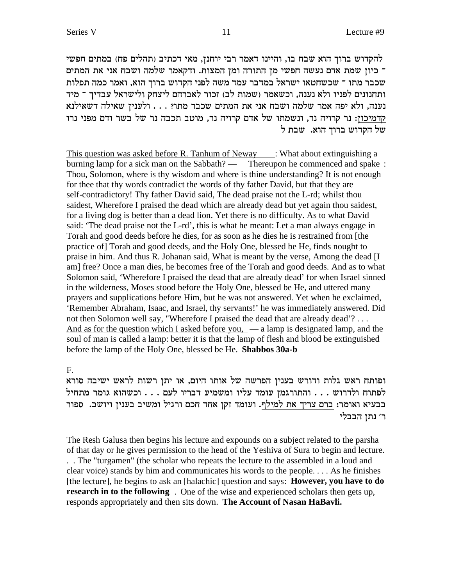להקדוש ברוך הוא שבח בו, והיינו דאמר רבי יוחנן, מאי דכתיב (תהלים פח) במתים חפשי י כיון שמת אדם נעשה חפשי מן התורה ומן המצות. ודקאמר שלמה ושבח אני את המתים כ שכבר מתו ־ שכשחטאו ישראל במדבר עמד משה לפני הקדוש ברוך הוא, ואמר כמה תפלות ותחנונים לפניו ולא נענה, וכשאמר (שמות לב) זכור לאברהם ליצחק ולישראל עבדיך ־ מיד נענה, ולא יפה אמר שלמה ושבח אני את המתים שכבר מתו? . . . ולענין שאילה דשאילנא ה המיכון: נר קרויה נר, ונשמתו של אדם קרויה נר, מוטב תכבה נר של בשר ודם מפני נרו של הקדוש ברוך הוא. שבת ל $\,$ 

This question was asked before R. Tanhum of Neway : What about extinguishing a burning lamp for a sick man on the Sabbath? — Thereupon he commenced and spake : Thou, Solomon, where is thy wisdom and where is thine understanding? It is not enough for thee that thy words contradict the words of thy father David, but that they are self-contradictory! Thy father David said, The dead praise not the L-rd; whilst thou saidest, Wherefore I praised the dead which are already dead but yet again thou saidest, for a living dog is better than a dead lion. Yet there is no difficulty. As to what David said: 'The dead praise not the L-rd', this is what he meant: Let a man always engage in Torah and good deeds before he dies, for as soon as he dies he is restrained from [the practice of] Torah and good deeds, and the Holy One, blessed be He, finds nought to praise in him. And thus R. Johanan said, What is meant by the verse, Among the dead [I am] free? Once a man dies, he becomes free of the Torah and good deeds. And as to what Solomon said, 'Wherefore I praised the dead that are already dead' for when Israel sinned in the wilderness, Moses stood before the Holy One, blessed be He, and uttered many prayers and supplications before Him, but he was not answered. Yet when he exclaimed, 'Remember Abraham, Isaac, and Israel, thy servants!' he was immediately answered. Did not then Solomon well say, "Wherefore I praised the dead that are already dead'? . . . And as for the question which I asked before you,  $\overline{a}$  a lamp is designated lamp, and the soul of man is called a lamp: better it is that the lamp of flesh and blood be extinguished before the lamp of the Holy One, blessed be He. **Shabbos 30a-b**

F.

ופותח ראש גלות ודורש בענין הפרשה של אותו היום, או יתן רשות לראש ישיבה סורא לפתוח ולדרוש . . . התורגמן עומד עליו ומשמיע דבריו לעם . . . וכשהוא גומר מתחיל בבעיא ואומר: ברם צריך את למילף. ועומד זקן אחד חכם ורגיל ומשיב בענין ויושב. ספור ר׳ נתן הבבלי

The Resh Galusa then begins his lecture and expounds on a subject related to the parsha of that day or he gives permission to the head of the Yeshiva of Sura to begin and lecture. . . The "turgamen" (the scholar who repeats the lecture to the assembled in a loud and clear voice) stands by him and communicates his words to the people. . . . As he finishes [the lecture], he begins to ask an [halachic] question and says: **However, you have to do research in to the following** . One of the wise and experienced scholars then gets up, responds appropriately and then sits down. **The Account of Nasan HaBavli.**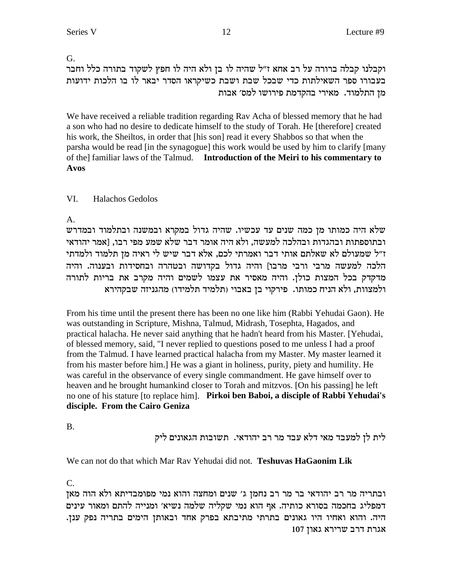### G.

וקבלנו קבלה ברורה על רב אחא ז"ל שהיה לו בן ולא היה לו חפץ לשקוד בתורה כלל וחבר בעבורו ספר השאילתות כדי שבכל שבת ושבת כשיקראו הסדר יבאר לו בו הלכות ידועות מן התלמוד. מאירי בהקדמת פירושו למס׳ אבות

We have received a reliable tradition regarding Rav Acha of blessed memory that he had a son who had no desire to dedicate himself to the study of Torah. He [therefore] created his work, the Sheiltos, in order that [his son] read it every Shabbos so that when the parsha would be read [in the synagogue] this work would be used by him to clarify [many of the] familiar laws of the Talmud. Introduction of the Meiri to his commentary to **Avos** 

#### VI. Halachos Gedolos

A.

שלא היה כמותו מן כמה שנים עד עכשיו. שהיה גדול במקרא ובמשנה ובתלמוד ובמדרש ובתוספתות ובהגדות ובהלכה למעשה, ולא היה אומר דבר שלא שמע מפי רבו, [אמר יהודאי ז״ל שמעולם לא שאלתם אותי דבר ואמרתי לכם, אלא דבר שיש לי ראיה מן תלמוד ולמדתי הלכה למעשה מרבי ורבי מרבו] והיה גדול בקדושה ובטהרה ובחסידות ובענוה. והיה מדקדק בכל המצות כולן. והיה מאסיר את עצמו לשמים והיה מקרב את בריות לתורה ולמצוות, ולא הניח כמותו. פירקוי בן באבוי (תלמיד תלמידו) מהגניזה שבקהירא

From his time until the present there has been no one like him (Rabbi Yehudai Gaon). He was outstanding in Scripture, Mishna, Talmud, Midrash, Tosephta, Hagados, and practical halacha. He never said anything that he hadn't heard from his Master. [Yehudai, of blessed memory, said, "I never replied to questions posed to me unless I had a proof from the Talmud. I have learned practical halacha from my Master. My master learned it from his master before him.] He was a giant in holiness, purity, piety and humility. He was careful in the observance of every single commandment. He gave himself over to heaven and he brought humankind closer to Torah and mitzvos. [On his passing] he left no one of his stature [to replace him]. Pirkoi ben Baboi, a disciple of Rabbi Yehudai's disciple. From the Cairo Geniza

**B.** 

לית לן למעבד מאי דלא עבד מר רב יהודאי. תשובות הגאונים ליק

We can not do that which Mar Ray Yehudai did not. Teshuvas HaGaonim Lik

 $C_{\cdot}$ 

ובתריה מר רב יהודאי בר מר רב נחמן ג' שנים ומחצה והוא נמי מפומבדיתא ולא הוה מאן דמפליג בחכמה בסורא כותיה. אף הוא נמי שקליה שלמה נשיא׳ ומנייה להתם ומאור עינים היה. והוא ואחיו היו גאונים בתרתי מתיבתא בפרק אחד ובאותן הימים בתריה נפק ענן. 107 אגרת דרב שרירא גאון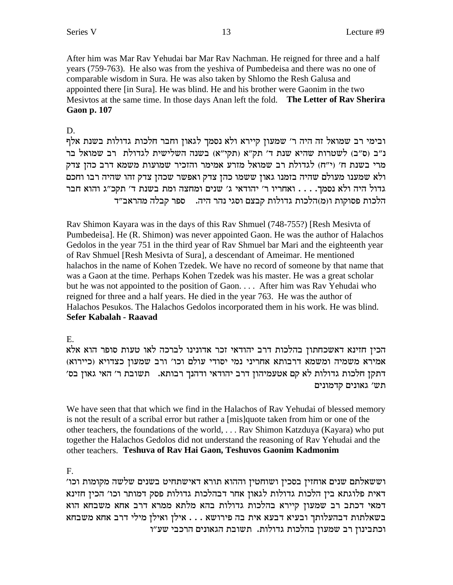After him was Mar Rav Yehudai bar Mar Rav Nachman. He reigned for three and a half years (759-763). He also was from the yeshiva of Pumbedeisa and there was no one of comparable wisdom in Sura. He was also taken by Shlomo the Resh Galusa and appointed there [in Sura]. He was blind. He and his brother were Gaonim in the two Mesivtos at the same time. In those days Anan left the fold. **The Letter of Rav Sherira Gaon p. 107**

# D.

ובימי רב שמואל זה היה ר' שמעון קיירא ולא נסמך לגאון וחבר חלכות גדולות בשנת אלף נ״ב (ס״ב) לשטרות שהיא שנת ד׳ תק״א (תקי״א) בשנה השלישית לגדולת רב שמואל בר מרי בשנת ח' (י"ח) לגדולת רב שמואל מזרע אמימר והזכיר שמועות משמא דרב כהז צדק ולא שמענו מעולם שהיה בזמנו גאון ששמו כהן צדק ואפשר שכהן צדק זהו שהיה רבו וחכם גדול היה ולא נסמך. . . . ואחריו ר׳ יהודאי ג׳ שנים ומחצה ומת בשנת ד׳ תקכ״ג והוא חבר הלכות פסוקות ו(מ)הלכות גדולות קבצם וסגי נהר היה. ספר קבלה מהראב״ד

Rav Shimon Kayara was in the days of this Rav Shmuel (748-755?) [Resh Mesivta of Pumbedeisa]. He (R. Shimon) was never appointed Gaon. He was the author of Halachos Gedolos in the year 751 in the third year of Rav Shmuel bar Mari and the eighteenth year of Rav Shmuel [Resh Mesivta of Sura], a descendant of Ameimar. He mentioned halachos in the name of Kohen Tzedek. We have no record of someone by that name that was a Gaon at the time. Perhaps Kohen Tzedek was his master. He was a great scholar but he was not appointed to the position of Gaon. . . . After him was Rav Yehudai who reigned for three and a half years. He died in the year 763. He was the author of Halachos Pesukos. The Halachos Gedolos incorporated them in his work. He was blind. **Sefer Kabalah - Raavad**

# E.

הכין חזינא דאשכחתון בהלכות דרב יהודאי זכר אדונינו לברכה לאו טעות סופר הוא אלא (מירא משמיה ומשמא דרבותא אחריני נמי יסודי עולם וכו׳ ורב שמעון כצדויא 'דתקן חלכות גדולות לא קם אטעמיהון דרב יהודאי ודהנך רבותא. תשובת ר׳ האי גאון בס תש' גאונים קדמונים

We have seen that that which we find in the Halachos of Rav Yehudai of blessed memory is not the result of a scribal error but rather a [mis]quote taken from him or one of the other teachers, the foundations of the world, . . . Rav Shimon Katzduya (Kayara) who put together the Halachos Gedolos did not understand the reasoning of Rav Yehudai and the other teachers. **Teshuva of Rav Hai Gaon, Teshuvos Gaonim Kadmonim**

F.

'וששאלתם שנים אוחזין בסכין ושוחטין וההוא תורא דאישתחיט בשנים שלשה מקומות וכו דאית פלוגתא בין הלכות גדולות לגאון אחר דבהלכות גדולות פסק דמותר וכו׳ הכין חזינא דמאי דכתב רב שמעון קיירא בהלכות גדולות בהא מלתא ממרא דרב אחא משבחא הוא בשאלתות דבהעלותך ובעיא דבעא אית בה פירושא . . . אילן ואילן מילי דרב אחא משבחא וכתבינון רב שמעון בהלכות גדולות. תשובת הגאונים הרכבי שע״ו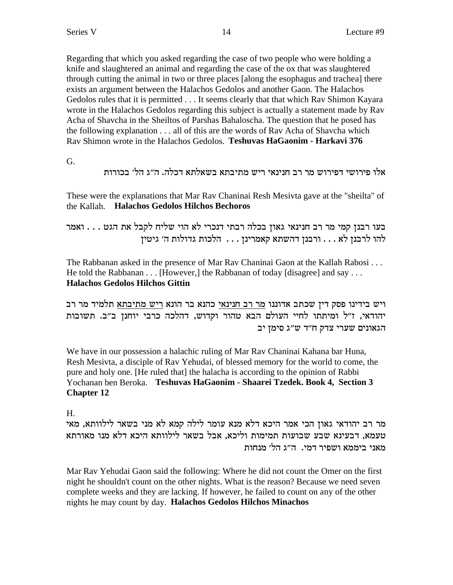Regarding that which you asked regarding the case of two people who were holding a knife and slaughtered an animal and regarding the case of the ox that was slaughtered through cutting the animal in two or three places [along the esophagus and trachea] there exists an argument between the Halachos Gedolos and another Gaon. The Halachos Gedolos rules that it is permitted . . . It seems clearly that that which Rav Shimon Kayara wrote in the Halachos Gedolos regarding this subject is actually a statement made by Rav Acha of Shavcha in the Sheiltos of Parshas Bahaloscha. The question that he posed has the following explanation . . . all of this are the words of Rav Acha of Shavcha which Rav Shimon wrote in the Halachos Gedolos. **Teshuvas HaGaonim - Harkavi 376**

G.

אלו פירושי דפירוש מר רב חנינאי ריש מתיבתא בשאלתא דכלה. ה״ג הל׳ בכורות

These were the explanations that Mar Rav Chaninai Resh Mesivta gave at the "sheilta" of the Kallah. **Halachos Gedolos Hilchos Bechoros**

בעו רבנן קמי מר רב חנינאי גאון בכלה רבתי דנכרי לא הוי שליח לקבל את הגט . . . ואמר להו לרבנן לא . . . ורבנן דהשתא קאמרינן . . . הלכות גדולות ה' גיטין

The Rabbanan asked in the presence of Mar Rav Chaninai Gaon at the Kallah Rabosi . . . He told the Rabbanan . . . [However,] the Rabbanan of today [disagree] and say . . . **Halachos Gedolos Hilchos Gittin**

ויש בידינו פסק דין שכתב אדוננו מר רב חנינאי כהנא בר הונא ריש מתיבתא תלמיד מר רב יהודאי, ז"ל ומיתתו לחיי העולם הבא טהור וקדוש, דהלכה כרבי יוחנן ב"ב. תשובות הגאונים שערי צדק ח"ד ש"ג סימן יב

We have in our possession a halachic ruling of Mar Rav Chaninai Kahana bar Huna, Resh Mesivta, a disciple of Rav Yehudai, of blessed memory for the world to come, the pure and holy one. [He ruled that] the halacha is according to the opinion of Rabbi Yochanan ben Beroka. **Teshuvas HaGaonim - Shaarei Tzedek. Book 4, Section 3 Chapter 12**

H.

מר רב יהודאי גאון הכי אמר היכא דלא מנא עומר לילה קמא לא מני בשאר לילוותא, מאי טעמא. דבעינא שבע שבועות תמימות וליכא, אבל בשאר לילוותא היכא דלא מנו מאורתא מאני ביממא ושפיר דמי. ה"ג הל׳ מנחות

Mar Rav Yehudai Gaon said the following: Where he did not count the Omer on the first night he shouldn't count on the other nights. What is the reason? Because we need seven complete weeks and they are lacking. If however, he failed to count on any of the other nights he may count by day. **Halachos Gedolos Hilchos Minachos**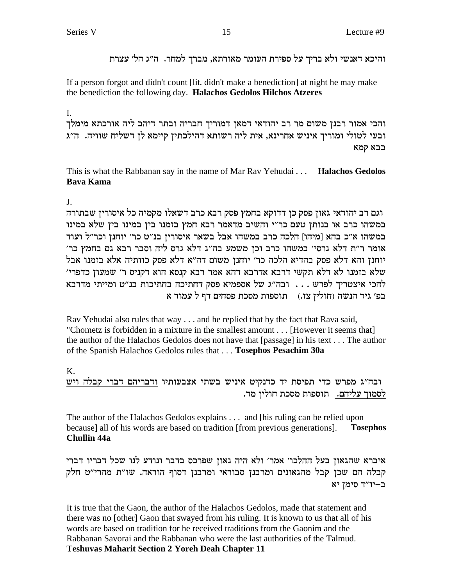והיכא דאנשי ולא בריך על ספירת העומר מאורתא, מברך למחר. ה״ג הל׳ עצרת

If a person forgot and didn't count [lit. didn't make a benediction] at night he may make the benediction the following day. Halachos Gedolos Hilchos Atzeres

### L.

והכי אמור רבנן משום מר רב יהודאי דמאן דמוריך חבריה ובתר דיהב ליה אורכתא מימלך ובעי לטולי ומוריך איניש אחרינא, אית ליה רשותא דהילכתין קיימא לן דשליח שוויה. ה"ג בבא קמא

This is what the Rabbanan say in the name of Mar Rav Yehudai . . . Halachos Gedolos **Bava Kama** 

 $\mathbf{J}$ .

וגם רב יהודאי גאון פסק כן דדוקא בחמץ פסק רבא כרב דשאלו מקמיה כל איסורין שבתורה במשהו כרב או בנותן טעם כר"י והשיב מדאמר רבא חמץ בזמנו בין במינו בין שלא במינו במשהו א״כ בהא [מיהו] הלכה כרב במשהו אבל בשאר איסורין בנ״ט כר׳ יוחנן וכר״ל ועוד אומר ר״ת דלא גרסי׳ במשהו כרב וכן משמע בה״ג דלא גרס ליה וסבר רבא גם בחמץ כר׳ יוחנן והא דלא פסק בהדיא הלכה כר׳ יוחנן משום דה״א דלא פסק כוותיה אלא בזמנו אבל שלא בזמנו לא דלא תקשי דרבא אדרבא דהא אמר רבא קנסא הוא דקניס ר׳ שמעון כדפרי׳ להכי איצטריך לפרש... ובה"ג של אספמיא פסק דחתיכה בחתיכות בנ"ט ומייתי מדרבא בפ׳ גיד הנשה (חולין צז.) תוספות מסכת פסחים דף ל עמוד א

Rav Yehudai also rules that way . . . and he replied that by the fact that Rava said, "Chometz is forbidden in a mixture in the smallest amount . . . [However it seems that] the author of the Halachos Gedolos does not have that [passage] in his text . . . The author of the Spanish Halachos Gedolos rules that . . . Tosephos Pesachim 30a

# Κ.

ובה"ג מפרש כדי תפיסת יד כדנקיט איניש בשתי אצבעותיו ודבריהם דברי קבלה ויש לסמוך עליהם. תוספות מסכת חולין מד.

The author of the Halachos Gedolos explains . . . and [his ruling can be relied upon] because] all of his words are based on tradition [from previous generations]. **Tosephos Chullin 44a** 

איברא שהגאון בעל ההלכו' אמר' ולא היה גאון שפרכס בדבר ונודע לנו שכל דבריו דברי קבלה הם שכן קבל מהגאונים ומרבנן סבוראי ומרבנן דסוף הוראה. שו"ת מהרי"ט חלק ב–יו"ד סימז יא

It is true that the Gaon, the author of the Halachos Gedolos, made that statement and there was no [other] Gaon that swayed from his ruling. It is known to us that all of his words are based on tradition for he received traditions from the Gaonim and the Rabbanan Savorai and the Rabbanan who were the last authorities of the Talmud. **Teshuvas Maharit Section 2 Yoreh Deah Chapter 11**